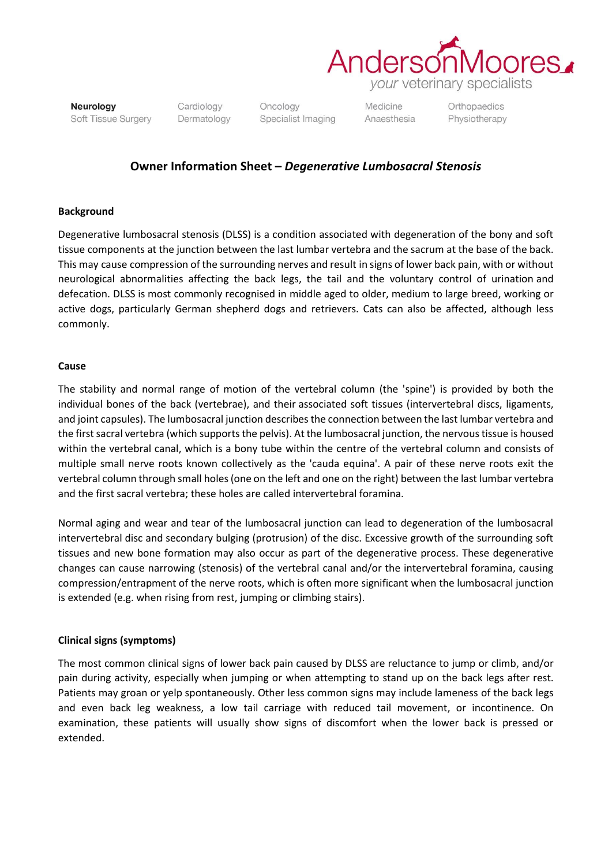

*your* veterinary specialists

Neurology Soft Tissue Surgery Cardiology Dermatology

Oncology Specialist Imaging Medicine Anaesthesia Orthopaedics Physiotherapy

## **Owner Information Sheet –** *Degenerative Lumbosacral Stenosis*

## **Background**

Degenerative lumbosacral stenosis (DLSS) is a condition associated with degeneration of the bony and soft tissue components at the junction between the last lumbar vertebra and the sacrum at the base of the back. This may cause compression of the surrounding nerves and result in signs of lower back pain, with or without neurological abnormalities affecting the back legs, the tail and the voluntary control of urination and defecation. DLSS is most commonly recognised in middle aged to older, medium to large breed, working or active dogs, particularly German shepherd dogs and retrievers. Cats can also be affected, although less commonly.

## **Cause**

The stability and normal range of motion of the vertebral column (the 'spine') is provided by both the individual bones of the back (vertebrae), and their associated soft tissues (intervertebral discs, ligaments, and joint capsules). The lumbosacral junction describes the connection between the last lumbar vertebra and the first sacral vertebra (which supports the pelvis). At the lumbosacral junction, the nervous tissue is housed within the vertebral canal, which is a bony tube within the centre of the vertebral column and consists of multiple small nerve roots known collectively as the 'cauda equina'. A pair of these nerve roots exit the vertebral column through small holes (one on the left and one on the right) between the last lumbar vertebra and the first sacral vertebra; these holes are called intervertebral foramina.

Normal aging and wear and tear of the lumbosacral junction can lead to degeneration of the lumbosacral intervertebral disc and secondary bulging (protrusion) of the disc. Excessive growth of the surrounding soft tissues and new bone formation may also occur as part of the degenerative process. These degenerative changes can cause narrowing (stenosis) of the vertebral canal and/or the intervertebral foramina, causing compression/entrapment of the nerve roots, which is often more significant when the lumbosacral junction is extended (e.g. when rising from rest, jumping or climbing stairs).

## **Clinical signs (symptoms)**

The most common clinical signs of lower back pain caused by DLSS are reluctance to jump or climb, and/or pain during activity, especially when jumping or when attempting to stand up on the back legs after rest. Patients may groan or yelp spontaneously. Other less common signs may include lameness of the back legs and even back leg weakness, a low tail carriage with reduced tail movement, or incontinence. On examination, these patients will usually show signs of discomfort when the lower back is pressed or extended.